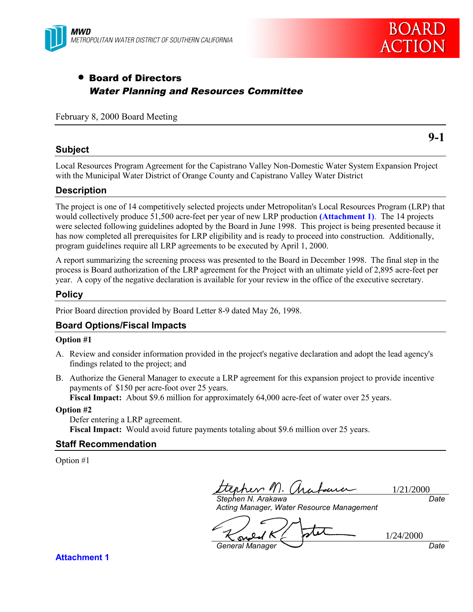



## • Board of Directors Water Planning and Resources Committee

#### February 8, 2000 Board Meeting

**9-1**

#### **Subject**

Local Resources Program Agreement for the Capistrano Valley Non-Domestic Water System Expansion Project with the Municipal Water District of Orange County and Capistrano Valley Water District

#### **Description**

The project is one of 14 competitively selected projects under Metropolitan's Local Resources Program (LRP) that would collectively produce 51,500 acre-feet per year of new LRP production **(Attachment 1)**. The 14 projects were selected following guidelines adopted by the Board in June 1998. This project is being presented because it has now completed all prerequisites for LRP eligibility and is ready to proceed into construction. Additionally, program guidelines require all LRP agreements to be executed by April 1, 2000.

A report summarizing the screening process was presented to the Board in December 1998. The final step in the process is Board authorization of the LRP agreement for the Project with an ultimate yield of 2,895 acre-feet per year. A copy of the negative declaration is available for your review in the office of the executive secretary.

#### **Policy**

Prior Board direction provided by Board Letter 8-9 dated May 26, 1998.

### **Board Options/Fiscal Impacts**

#### **Option #1**

- A. Review and consider information provided in the project's negative declaration and adopt the lead agency's findings related to the project; and
- B. Authorize the General Manager to execute a LRP agreement for this expansion project to provide incentive payments of \$150 per acre-foot over 25 years. **Fiscal Impact:** About \$9.6 million for approximately 64,000 acre-feet of water over 25 years.

#### **Option #2**

Defer entering a LRP agreement. **Fiscal Impact:** Would avoid future payments totaling about \$9.6 million over 25 years.

#### **Staff Recommendation**

Option #1

reso 11 1/21/2000 *Stephen N. Arakawa*

*Date*

1/24/2000

*Acting Manager, Water Resource Management*

*General Manager Date*

**Attachment 1**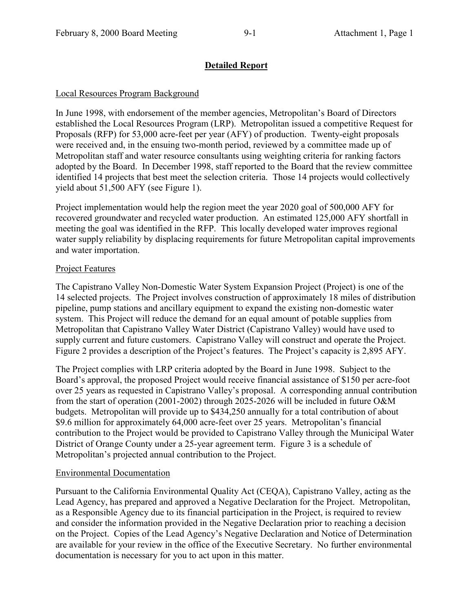## **Detailed Report**

## Local Resources Program Background

In June 1998, with endorsement of the member agencies, Metropolitan's Board of Directors established the Local Resources Program (LRP). Metropolitan issued a competitive Request for Proposals (RFP) for 53,000 acre-feet per year (AFY) of production. Twenty-eight proposals were received and, in the ensuing two-month period, reviewed by a committee made up of Metropolitan staff and water resource consultants using weighting criteria for ranking factors adopted by the Board. In December 1998, staff reported to the Board that the review committee identified 14 projects that best meet the selection criteria. Those 14 projects would collectively yield about 51,500 AFY (see Figure 1).

Project implementation would help the region meet the year 2020 goal of 500,000 AFY for recovered groundwater and recycled water production. An estimated 125,000 AFY shortfall in meeting the goal was identified in the RFP. This locally developed water improves regional water supply reliability by displacing requirements for future Metropolitan capital improvements and water importation.

## Project Features

The Capistrano Valley Non-Domestic Water System Expansion Project (Project) is one of the 14 selected projects. The Project involves construction of approximately 18 miles of distribution pipeline, pump stations and ancillary equipment to expand the existing non-domestic water system. This Project will reduce the demand for an equal amount of potable supplies from Metropolitan that Capistrano Valley Water District (Capistrano Valley) would have used to supply current and future customers. Capistrano Valley will construct and operate the Project. Figure 2 provides a description of the Project's features. The Project's capacity is 2,895 AFY.

The Project complies with LRP criteria adopted by the Board in June 1998. Subject to the Board's approval, the proposed Project would receive financial assistance of \$150 per acre-foot over 25 years as requested in Capistrano Valley's proposal. A corresponding annual contribution from the start of operation (2001-2002) through 2025-2026 will be included in future O&M budgets. Metropolitan will provide up to \$434,250 annually for a total contribution of about \$9.6 million for approximately 64,000 acre-feet over 25 years. Metropolitan's financial contribution to the Project would be provided to Capistrano Valley through the Municipal Water District of Orange County under a 25-year agreement term. Figure 3 is a schedule of Metropolitan's projected annual contribution to the Project.

## Environmental Documentation

Pursuant to the California Environmental Quality Act (CEQA), Capistrano Valley, acting as the Lead Agency, has prepared and approved a Negative Declaration for the Project. Metropolitan, as a Responsible Agency due to its financial participation in the Project, is required to review and consider the information provided in the Negative Declaration prior to reaching a decision on the Project. Copies of the Lead Agency's Negative Declaration and Notice of Determination are available for your review in the office of the Executive Secretary. No further environmental documentation is necessary for you to act upon in this matter.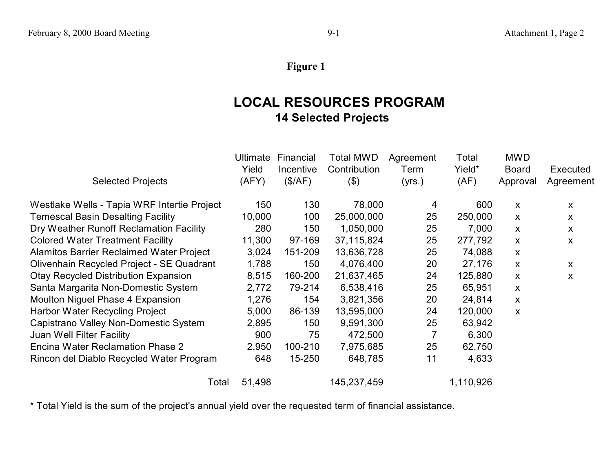# **Figure 1**

# **LOCAL RESOURCES PROGRAM 14 Selected Projects**

|                                                 | <b>Ultimate</b> | Financial | <b>Total MWD</b> | Agreement | Total     | <b>MWD</b>   |           |
|-------------------------------------------------|-----------------|-----------|------------------|-----------|-----------|--------------|-----------|
|                                                 | Yield           | Incentive | Contribution     | Term      | Yield*    | <b>Board</b> | Executed  |
| <b>Selected Projects</b>                        | (AFY)           | (\$/AF)   | $(\$)$           | (yrs.)    | (AF)      | Approval     | Agreement |
| Westlake Wells - Tapia WRF Intertie Project     | 150             | 130       | 78,000           | 4         | 600       | X            | X         |
| <b>Temescal Basin Desalting Facility</b>        | 10,000          | 100       | 25,000,000       | 25        | 250,000   | X            | X         |
| Dry Weather Runoff Reclamation Facility         | 280             | 150       | 1,050,000        | 25        | 7,000     | X            | X         |
| <b>Colored Water Treatment Facility</b>         | 11,300          | 97-169    | 37,115,824       | 25        | 277,792   | X            | X         |
| <b>Alamitos Barrier Reclaimed Water Project</b> | 3,024           | 151-209   | 13,636,728       | 25        | 74,088    | X            |           |
| Olivenhain Recycled Project - SE Quadrant       | 1,788           | 150       | 4,076,400        | 20        | 27,176    | X            | X         |
| <b>Otay Recycled Distribution Expansion</b>     | 8,515           | 160-200   | 21,637,465       | 24        | 125,880   | X            | X         |
| Santa Margarita Non-Domestic System             | 2,772           | 79-214    | 6,538,416        | 25        | 65,951    | X            |           |
| Moulton Niguel Phase 4 Expansion                | 1,276           | 154       | 3,821,356        | 20        | 24,814    | X            |           |
| Harbor Water Recycling Project                  | 5,000           | 86-139    | 13,595,000       | 24        | 120,000   | X            |           |
| Capistrano Valley Non-Domestic System           | 2,895           | 150       | 9,591,300        | 25        | 63,942    |              |           |
| Juan Well Filter Facility                       | 900             | 75        | 472,500          |           | 6,300     |              |           |
| Encina Water Reclamation Phase 2                | 2,950           | 100-210   | 7,975,685        | 25        | 62,750    |              |           |
| Rincon del Diablo Recycled Water Program        | 648             | 15-250    | 648,785          | 11        | 4,633     |              |           |
| Total                                           | 51,498          |           | 145,237,459      |           | 1,110,926 |              |           |

\* Total Yield is the sum of the project's annual yield over the requested term of financial assistance.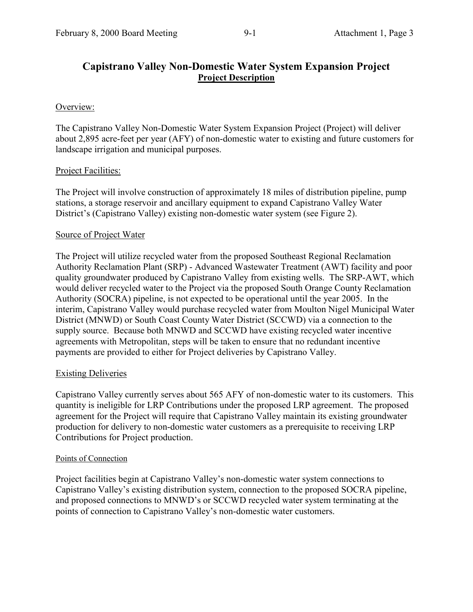## **Capistrano Valley Non-Domestic Water System Expansion Project Project Description**

### Overview:

The Capistrano Valley Non-Domestic Water System Expansion Project (Project) will deliver about 2,895 acre-feet per year (AFY) of non-domestic water to existing and future customers for landscape irrigation and municipal purposes.

### Project Facilities:

The Project will involve construction of approximately 18 miles of distribution pipeline, pump stations, a storage reservoir and ancillary equipment to expand Capistrano Valley Water District's (Capistrano Valley) existing non-domestic water system (see Figure 2).

### Source of Project Water

The Project will utilize recycled water from the proposed Southeast Regional Reclamation Authority Reclamation Plant (SRP) - Advanced Wastewater Treatment (AWT) facility and poor quality groundwater produced by Capistrano Valley from existing wells. The SRP-AWT, which would deliver recycled water to the Project via the proposed South Orange County Reclamation Authority (SOCRA) pipeline, is not expected to be operational until the year 2005. In the interim, Capistrano Valley would purchase recycled water from Moulton Nigel Municipal Water District (MNWD) or South Coast County Water District (SCCWD) via a connection to the supply source. Because both MNWD and SCCWD have existing recycled water incentive agreements with Metropolitan, steps will be taken to ensure that no redundant incentive payments are provided to either for Project deliveries by Capistrano Valley.

### Existing Deliveries

Capistrano Valley currently serves about 565 AFY of non-domestic water to its customers. This quantity is ineligible for LRP Contributions under the proposed LRP agreement. The proposed agreement for the Project will require that Capistrano Valley maintain its existing groundwater production for delivery to non-domestic water customers as a prerequisite to receiving LRP Contributions for Project production.

### Points of Connection

Project facilities begin at Capistrano Valley's non-domestic water system connections to Capistrano Valley's existing distribution system, connection to the proposed SOCRA pipeline, and proposed connections to MNWD's or SCCWD recycled water system terminating at the points of connection to Capistrano Valley's non-domestic water customers.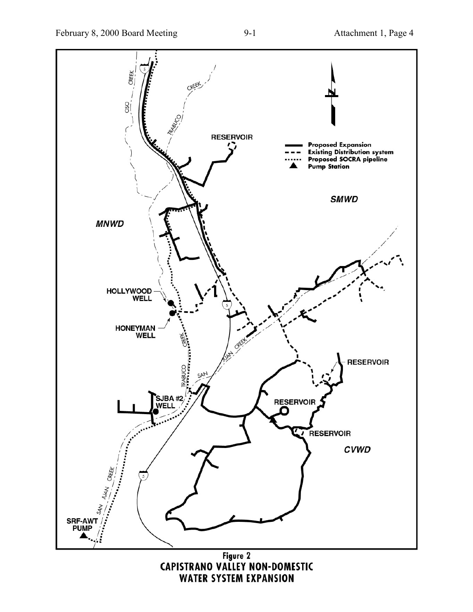

Figure 2<br>CAPISTRANO VALLEY NON-DOMESTIC **WATER SYSTEM EXPANSION**